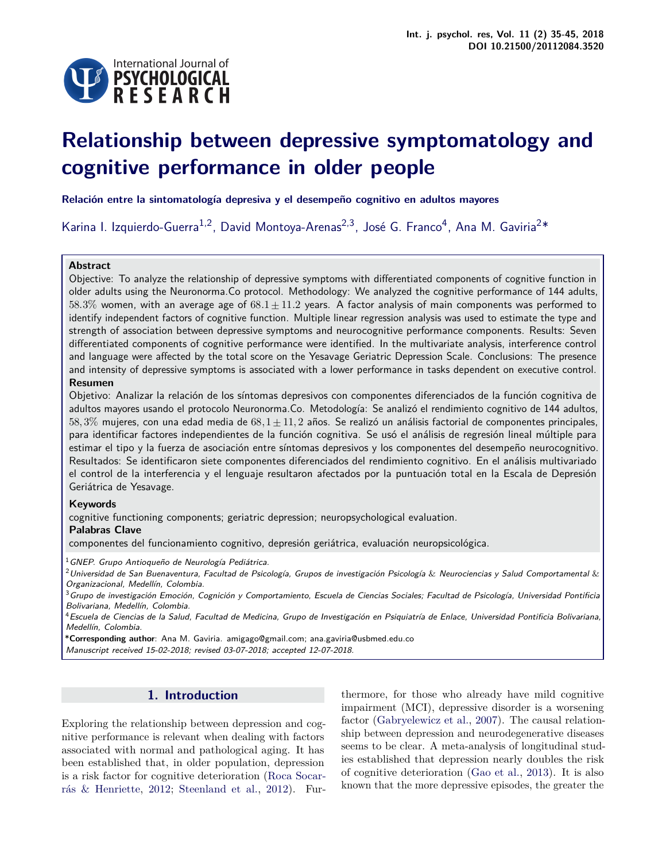

# **Relationship between depressive symptomatology and cognitive performance in older people**

**Relación entre la sintomatología depresiva y el desempeño cognitivo en adultos mayores**

Karina I. Izquierdo-Guerra<sup>1,2</sup>, David Montoya-Arenas<sup>2,3</sup>, José G. Franco<sup>4</sup>, Ana M. Gaviria<sup>2\*</sup>

## **Abstract**

Objective: To analyze the relationship of depressive symptoms with differentiated components of cognitive function in older adults using the Neuronorma.Co protocol. Methodology: We analyzed the cognitive performance of 144 adults, 58.3% women, with an average age of  $68.1 \pm 11.2$  years. A factor analysis of main components was performed to identify independent factors of cognitive function. Multiple linear regression analysis was used to estimate the type and strength of association between depressive symptoms and neurocognitive performance components. Results: Seven differentiated components of cognitive performance were identified. In the multivariate analysis, interference control and language were affected by the total score on the Yesavage Geriatric Depression Scale. Conclusions: The presence and intensity of depressive symptoms is associated with a lower performance in tasks dependent on executive control.

#### **Resumen**

Objetivo: Analizar la relación de los síntomas depresivos con componentes diferenciados de la función cognitiva de adultos mayores usando el protocolo Neuronorma.Co. Metodología: Se analizó el rendimiento cognitivo de 144 adultos, 58, 3% mujeres, con una edad media de  $68.1 \pm 11.2$  años. Se realizó un análisis factorial de componentes principales, para identificar factores independientes de la función cognitiva. Se usó el análisis de regresión lineal múltiple para estimar el tipo y la fuerza de asociación entre síntomas depresivos y los componentes del desempeño neurocognitivo. Resultados: Se identificaron siete componentes diferenciados del rendimiento cognitivo. En el análisis multivariado el control de la interferencia y el lenguaje resultaron afectados por la puntuación total en la Escala de Depresión Geriátrica de Yesavage.

## **Keywords**

cognitive functioning components; geriatric depression; neuropsychological evaluation.

#### **Palabras Clave**

componentes del funcionamiento cognitivo, depresión geriátrica, evaluación neuropsicológica.

 $1$ GNEP. Grupo Antioqueño de Neurología Pediátrica.

 $2$ Universidad de San Buenaventura, Facultad de Psicología, Grupos de investigación Psicología & Neurociencias y Salud Comportamental & Organizacional, Medellín, Colombia.

 $3$ Grupo de investigación Emoción, Cognición y Comportamiento, Escuela de Ciencias Sociales; Facultad de Psicología, Universidad Pontificia Bolivariana, Medellín, Colombia.

<sup>4</sup>Escuela de Ciencias de la Salud, Facultad de Medicina, Grupo de Investigación en Psiquiatría de Enlace, Universidad Pontificia Bolivariana, Medellín, Colombia.

\***Corresponding author**: Ana M. Gaviria. amigago@gmail.com; ana.gaviria@usbmed.edu.co Manuscript received 15-02-2018; revised 03-07-2018; accepted 12-07-2018.

## **1. Introduction**

Exploring the relationship between depression and cognitive performance is relevant when dealing with factors associated with normal and pathological aging. It has been established that, in older population, depression is a risk factor for cognitive deterioration [\(Roca Socar](#page-9-0)[rás & Henriette,](#page-9-0) [2012;](#page-9-0) [Steenland et al.,](#page-10-0) [2012\)](#page-10-0). Fur-

thermore, for those who already have mild cognitive impairment (MCI), depressive disorder is a worsening factor [\(Gabryelewicz et al.,](#page-9-1) [2007\)](#page-9-1). The causal relationship between depression and neurodegenerative diseases seems to be clear. A meta-analysis of longitudinal studies established that depression nearly doubles the risk of cognitive deterioration [\(Gao et al.,](#page-9-2) [2013\)](#page-9-2). It is also known that the more depressive episodes, the greater the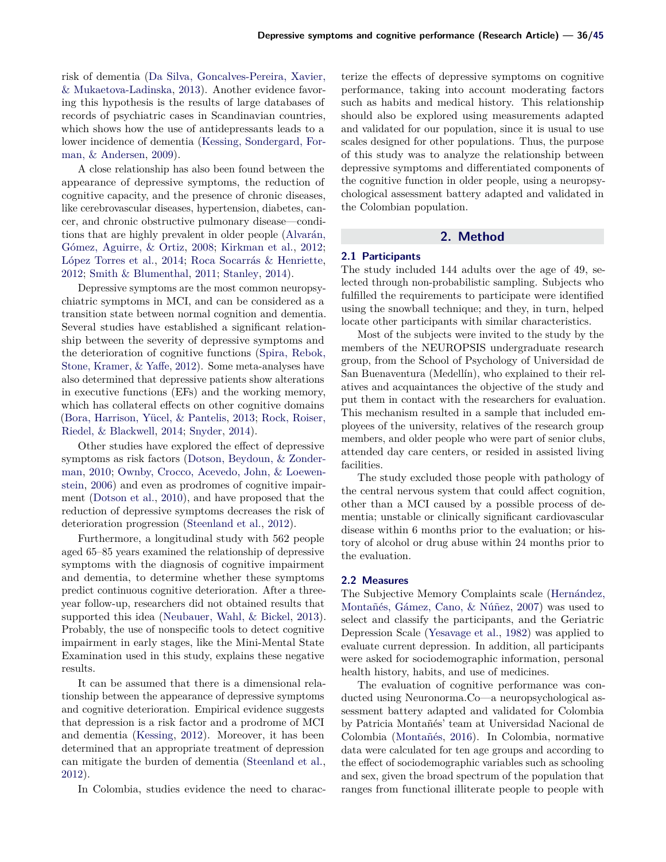risk of dementia [\(Da Silva, Goncalves-Pereira, Xavier,](#page-8-0) [& Mukaetova-Ladinska,](#page-8-0) [2013\)](#page-8-0). Another evidence favoring this hypothesis is the results of large databases of records of psychiatric cases in Scandinavian countries, which shows how the use of antidepressants leads to a lower incidence of dementia [\(Kessing, Sondergard, For](#page-9-3)[man, & Andersen,](#page-9-3) [2009\)](#page-9-3).

A close relationship has also been found between the appearance of depressive symptoms, the reduction of cognitive capacity, and the presence of chronic diseases, like cerebrovascular diseases, hypertension, diabetes, cancer, and chronic obstructive pulmonary disease—conditions that are highly prevalent in older people [\(Alvarán,](#page-8-1) [Gómez, Aguirre, & Ortiz,](#page-8-1) [2008;](#page-8-1) [Kirkman et al.,](#page-9-4) [2012;](#page-9-4) [López Torres et al.,](#page-9-5) [2014;](#page-9-5) [Roca Socarrás & Henriette,](#page-9-0) [2012;](#page-9-0) [Smith & Blumenthal,](#page-10-2) [2011;](#page-10-2) [Stanley,](#page-10-3) [2014\)](#page-10-3).

Depressive symptoms are the most common neuropsychiatric symptoms in MCI, and can be considered as a transition state between normal cognition and dementia. Several studies have established a significant relationship between the severity of depressive symptoms and the deterioration of cognitive functions [\(Spira, Rebok,](#page-10-4) [Stone, Kramer, & Yaffe,](#page-10-4) [2012\)](#page-10-4). Some meta-analyses have also determined that depressive patients show alterations in executive functions (EFs) and the working memory, which has collateral effects on other cognitive domains [\(Bora, Harrison, Yücel, & Pantelis,](#page-8-2) [2013;](#page-8-2) [Rock, Roiser,](#page-10-5) [Riedel, & Blackwell,](#page-10-5) [2014;](#page-10-5) [Snyder,](#page-10-6) [2014\)](#page-10-6).

Other studies have explored the effect of depressive symptoms as risk factors [\(Dotson, Beydoun, & Zonder](#page-8-3)[man,](#page-8-3) [2010;](#page-8-3) [Ownby, Crocco, Acevedo, John, & Loewen](#page-9-6)[stein,](#page-9-6) [2006\)](#page-9-6) and even as prodromes of cognitive impairment [\(Dotson et al.,](#page-8-3) [2010\)](#page-8-3), and have proposed that the reduction of depressive symptoms decreases the risk of deterioration progression [\(Steenland et al.,](#page-10-0) [2012\)](#page-10-0).

Furthermore, a longitudinal study with 562 people aged 65–85 years examined the relationship of depressive symptoms with the diagnosis of cognitive impairment and dementia, to determine whether these symptoms predict continuous cognitive deterioration. After a threeyear follow-up, researchers did not obtained results that supported this idea [\(Neubauer, Wahl, & Bickel,](#page-9-7) [2013\)](#page-9-7). Probably, the use of nonspecific tools to detect cognitive impairment in early stages, like the Mini-Mental State Examination used in this study, explains these negative results.

It can be assumed that there is a dimensional relationship between the appearance of depressive symptoms and cognitive deterioration. Empirical evidence suggests that depression is a risk factor and a prodrome of MCI and dementia [\(Kessing,](#page-9-8) [2012\)](#page-9-8). Moreover, it has been determined that an appropriate treatment of depression can mitigate the burden of dementia [\(Steenland et al.,](#page-10-0) [2012\)](#page-10-0).

In Colombia, studies evidence the need to charac-

terize the effects of depressive symptoms on cognitive performance, taking into account moderating factors such as habits and medical history. This relationship should also be explored using measurements adapted and validated for our population, since it is usual to use scales designed for other populations. Thus, the purpose of this study was to analyze the relationship between depressive symptoms and differentiated components of the cognitive function in older people, using a neuropsychological assessment battery adapted and validated in the Colombian population.

#### **2. Method**

#### **2.1 Participants**

The study included 144 adults over the age of 49, selected through non-probabilistic sampling. Subjects who fulfilled the requirements to participate were identified using the snowball technique; and they, in turn, helped locate other participants with similar characteristics.

Most of the subjects were invited to the study by the members of the NEUROPSIS undergraduate research group, from the School of Psychology of Universidad de San Buenaventura (Medellín), who explained to their relatives and acquaintances the objective of the study and put them in contact with the researchers for evaluation. This mechanism resulted in a sample that included employees of the university, relatives of the research group members, and older people who were part of senior clubs, attended day care centers, or resided in assisted living facilities.

The study excluded those people with pathology of the central nervous system that could affect cognition, other than a MCI caused by a possible process of dementia; unstable or clinically significant cardiovascular disease within 6 months prior to the evaluation; or history of alcohol or drug abuse within 24 months prior to the evaluation.

#### **2.2 Measures**

The Subjective Memory Complaints scale [\(Hernández,](#page-9-9) [Montañés, Gámez, Cano, & Núñez,](#page-9-9) [2007\)](#page-9-9) was used to select and classify the participants, and the Geriatric Depression Scale [\(Yesavage et al.,](#page-10-7) [1982\)](#page-10-7) was applied to evaluate current depression. In addition, all participants were asked for sociodemographic information, personal health history, habits, and use of medicines.

The evaluation of cognitive performance was conducted using Neuronorma.Co—a neuropsychological assessment battery adapted and validated for Colombia by Patricia Montañés' team at Universidad Nacional de Colombia [\(Montañés,](#page-9-10) [2016\)](#page-9-10). In Colombia, normative data were calculated for ten age groups and according to the effect of sociodemographic variables such as schooling and sex, given the broad spectrum of the population that ranges from functional illiterate people to people with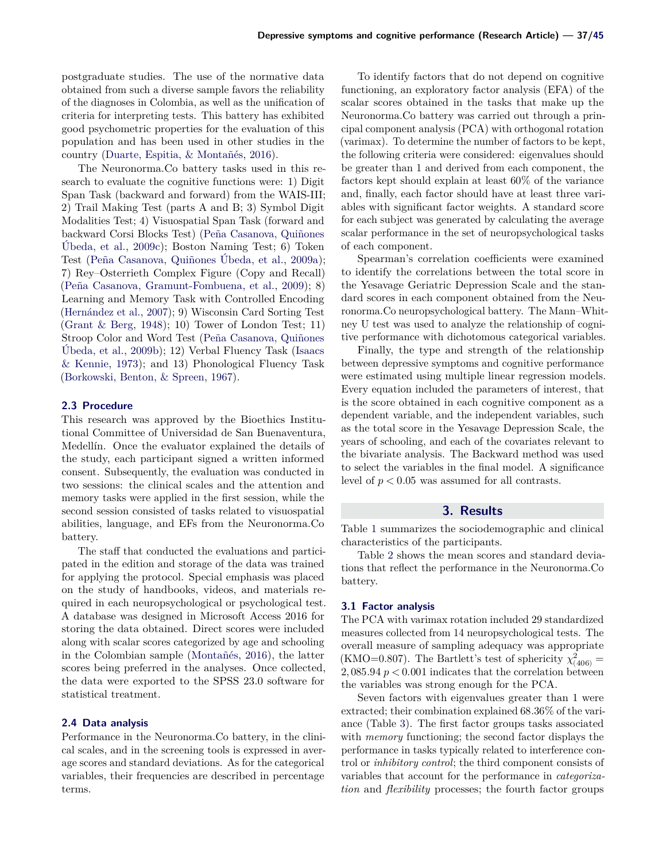postgraduate studies. The use of the normative data obtained from such a diverse sample favors the reliability of the diagnoses in Colombia, as well as the unification of criteria for interpreting tests. This battery has exhibited good psychometric properties for the evaluation of this population and has been used in other studies in the country [\(Duarte, Espitia, & Montañés,](#page-9-11) [2016\)](#page-9-11).

The Neuronorma.Co battery tasks used in this research to evaluate the cognitive functions were: 1) Digit Span Task (backward and forward) from the WAIS-III; 2) Trail Making Test (parts A and B; 3) Symbol Digit Modalities Test; 4) Visuospatial Span Task (forward and backward Corsi Blocks Test) [\(Peña Casanova, Quiñones](#page-9-12) [Úbeda, et al.,](#page-9-12) [2009c\)](#page-9-12); Boston Naming Test; 6) Token Test [\(Peña Casanova, Quiñones Úbeda, et al.,](#page-9-13) [2009a\)](#page-9-13); 7) Rey–Osterrieth Complex Figure (Copy and Recall) [\(Peña Casanova, Gramunt-Fombuena, et al.,](#page-9-14) [2009\)](#page-9-14); 8) Learning and Memory Task with Controlled Encoding [\(Hernández et al.,](#page-9-9) [2007\)](#page-9-9); 9) Wisconsin Card Sorting Test [\(Grant & Berg,](#page-9-15) [1948\)](#page-9-15); 10) Tower of London Test; 11) Stroop Color and Word Test [\(Peña Casanova, Quiñones](#page-9-16) [Úbeda, et al.,](#page-9-16) [2009b\)](#page-9-16); 12) Verbal Fluency Task [\(Isaacs](#page-9-17) [& Kennie,](#page-9-17) [1973\)](#page-9-17); and 13) Phonological Fluency Task [\(Borkowski, Benton, & Spreen,](#page-8-4) [1967\)](#page-8-4).

#### **2.3 Procedure**

This research was approved by the Bioethics Institutional Committee of Universidad de San Buenaventura, Medellín. Once the evaluator explained the details of the study, each participant signed a written informed consent. Subsequently, the evaluation was conducted in two sessions: the clinical scales and the attention and memory tasks were applied in the first session, while the second session consisted of tasks related to visuospatial abilities, language, and EFs from the Neuronorma.Co battery.

The staff that conducted the evaluations and participated in the edition and storage of the data was trained for applying the protocol. Special emphasis was placed on the study of handbooks, videos, and materials required in each neuropsychological or psychological test. A database was designed in Microsoft Access 2016 for storing the data obtained. Direct scores were included along with scalar scores categorized by age and schooling in the Colombian sample [\(Montañés,](#page-9-10) [2016\)](#page-9-10), the latter scores being preferred in the analyses. Once collected, the data were exported to the SPSS 23.0 software for statistical treatment.

#### **2.4 Data analysis**

Performance in the Neuronorma.Co battery, in the clinical scales, and in the screening tools is expressed in average scores and standard deviations. As for the categorical variables, their frequencies are described in percentage terms.

To identify factors that do not depend on cognitive functioning, an exploratory factor analysis (EFA) of the scalar scores obtained in the tasks that make up the Neuronorma.Co battery was carried out through a principal component analysis (PCA) with orthogonal rotation (varimax). To determine the number of factors to be kept, the following criteria were considered: eigenvalues should be greater than 1 and derived from each component, the factors kept should explain at least 60% of the variance and, finally, each factor should have at least three variables with significant factor weights. A standard score for each subject was generated by calculating the average scalar performance in the set of neuropsychological tasks of each component.

Spearman's correlation coefficients were examined to identify the correlations between the total score in the Yesavage Geriatric Depression Scale and the standard scores in each component obtained from the Neuronorma.Co neuropsychological battery. The Mann–Whitney U test was used to analyze the relationship of cognitive performance with dichotomous categorical variables.

Finally, the type and strength of the relationship between depressive symptoms and cognitive performance were estimated using multiple linear regression models. Every equation included the parameters of interest, that is the score obtained in each cognitive component as a dependent variable, and the independent variables, such as the total score in the Yesavage Depression Scale, the years of schooling, and each of the covariates relevant to the bivariate analysis. The Backward method was used to select the variables in the final model. A significance level of  $p < 0.05$  was assumed for all contrasts.

#### **3. Results**

Table [1](#page-3-0) summarizes the sociodemographic and clinical characteristics of the participants.

Table [2](#page-4-0) shows the mean scores and standard deviations that reflect the performance in the Neuronorma.Co battery.

#### **3.1 Factor analysis**

The PCA with varimax rotation included 29 standardized measures collected from 14 neuropsychological tests. The overall measure of sampling adequacy was appropriate (KMO=0.807). The Bartlett's test of sphericity  $\chi^2_{(406)}$  = 2, 085.94  $p < 0.001$  indicates that the correlation between the variables was strong enough for the PCA.

Seven factors with eigenvalues greater than 1 were extracted; their combination explained 68.36% of the variance (Table [3\)](#page-5-0). The first factor groups tasks associated with *memory* functioning; the second factor displays the performance in tasks typically related to interference control or *inhibitory control*; the third component consists of variables that account for the performance in *categorization* and *flexibility* processes; the fourth factor groups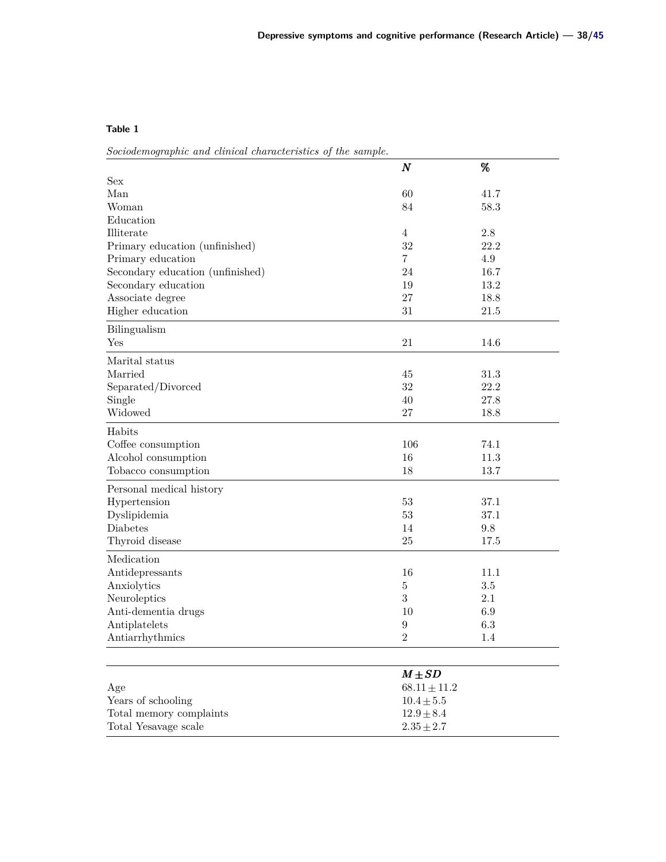<span id="page-3-0"></span>*Sociodemographic and clinical characteristics of the sample.*

|                                  | $\boldsymbol{N}$ | %       |  |
|----------------------------------|------------------|---------|--|
| Sex                              |                  |         |  |
| Man                              | 60               | 41.7    |  |
| Woman                            | 84               | 58.3    |  |
| Education                        |                  |         |  |
| Illiterate                       | $\overline{4}$   | $2.8\,$ |  |
| Primary education (unfinished)   | 32               | 22.2    |  |
| Primary education                | $\overline{7}$   | 4.9     |  |
| Secondary education (unfinished) | 24               | 16.7    |  |
| Secondary education              | 19               | 13.2    |  |
| Associate degree                 | 27               | 18.8    |  |
| Higher education                 | $31\,$           | 21.5    |  |
| Bilingualism                     |                  |         |  |
| Yes                              | 21               | 14.6    |  |
| Marital status                   |                  |         |  |
| Married                          | 45               | 31.3    |  |
| Separated/Divorced               | 32               | 22.2    |  |
| Single                           | 40               | 27.8    |  |
| Widowed                          | $27\,$           | 18.8    |  |
| Habits                           |                  |         |  |
| Coffee consumption               | 106              | 74.1    |  |
| Alcohol consumption              | 16               | 11.3    |  |
| Tobacco consumption              | 18               | 13.7    |  |
| Personal medical history         |                  |         |  |
| Hypertension                     | $53\,$           | 37.1    |  |
| Dyslipidemia                     | 53               | 37.1    |  |
| Diabetes                         | 14               | 9.8     |  |
| Thyroid disease                  | 25               | 17.5    |  |
| Medication                       |                  |         |  |
| Antidepressants                  | 16               | 11.1    |  |
| Anxiolytics                      | $\bf 5$          | 3.5     |  |
| Neuroleptics                     | 3                | 2.1     |  |
| Anti-dementia drugs              | 10               | 6.9     |  |
| Antiplatelets                    | $\boldsymbol{9}$ | 6.3     |  |
| Antiarrhythmics                  | $\boldsymbol{2}$ | 1.4     |  |
|                                  |                  |         |  |
|                                  | $M \pm SD$       |         |  |
| Age                              | $68.11 \pm 11.2$ |         |  |
| Years of schooling               | $10.4\pm5.5$     |         |  |
| Total memory complaints          | $12.9 \pm 8.4$   |         |  |
| Total Yesavage scale             | $2.35\pm2.7$     |         |  |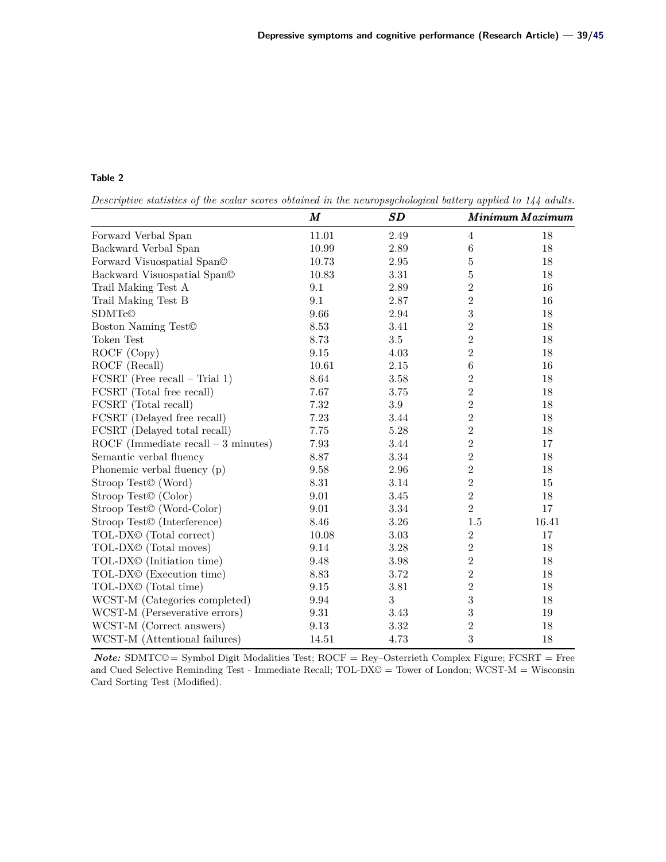<span id="page-4-0"></span>*Descriptive statistics of the scalar scores obtained in the neuropsychological battery applied to 144 adults.*

|                                         | M        | SD       |                  | Minimum Maximum |
|-----------------------------------------|----------|----------|------------------|-----------------|
| Forward Verbal Span                     | 11.01    | 2.49     | 4                | 18              |
| Backward Verbal Span                    | 10.99    | 2.89     | $\,6$            | 18              |
| Forward Visuospatial Span©              | 10.73    | 2.95     | $\overline{5}$   | 18              |
| Backward Visuospatial Span©             | 10.83    | 3.31     | $\overline{5}$   | 18              |
| Trail Making Test A                     | 9.1      | 2.89     | $\overline{2}$   | 16              |
| Trail Making Test B                     | 9.1      | 2.87     | $\overline{2}$   | 16              |
| SDMTc@                                  | 9.66     | 2.94     | $\boldsymbol{3}$ | $18\,$          |
| Boston Naming Test <sup>©</sup>         | 8.53     | 3.41     | $\overline{2}$   | $18\,$          |
| Token Test                              | 8.73     | $3.5\,$  | $\overline{2}$   | $18\,$          |
| ROCF (Copy)                             | $\,9.15$ | 4.03     | $\overline{2}$   | 18              |
| ROCF (Recall)                           | 10.61    | $2.15\,$ | $\,6$            | $16\,$          |
| $FCSRT$ (Free recall – Trial 1)         | 8.64     | $3.58\,$ | $\overline{2}$   | $18\,$          |
| FCSRT (Total free recall)               | 7.67     | 3.75     | $\overline{2}$   | $18\,$          |
| FCSRT (Total recall)                    | 7.32     | $\!.9$   | $\overline{2}$   | $18\,$          |
| FCSRT (Delayed free recall)             | 7.23     | 3.44     | $\overline{2}$   | $18\,$          |
| FCSRT (Delayed total recall)            | 7.75     | $5.28\,$ | $\overline{2}$   | $18\,$          |
| ROCF (Immediate recall $-3$ minutes)    | 7.93     | 3.44     | $\overline{2}$   | 17              |
| Semantic verbal fluency                 | 8.87     | 3.34     | $\overline{2}$   | $18\,$          |
| Phonemic verbal fluency (p)             | 9.58     | 2.96     | $\overline{2}$   | 18              |
| Stroop Test <sup>©</sup> (Word)         | 8.31     | 3.14     | $\overline{2}$   | 15              |
| Stroop Test <sup>©</sup> (Color)        | 9.01     | 3.45     | $\overline{2}$   | 18              |
| Stroop Test <sup>©</sup> (Word-Color)   | 9.01     | 3.34     | $\overline{2}$   | 17              |
| Stroop Test <sup>©</sup> (Interference) | 8.46     | 3.26     | 1.5              | 16.41           |
| TOL-DX <sup>©</sup> (Total correct)     | 10.08    | 3.03     | $\sqrt{2}$       | 17              |
| TOL-DX <sup>©</sup> (Total moves)       | 9.14     | 3.28     | $\overline{2}$   | 18              |
| TOL-DX <sup>®</sup> (Initiation time)   | 9.48     | 3.98     | $\overline{2}$   | 18              |
| TOL-DX <sup>©</sup> (Execution time)    | 8.83     | 3.72     | $\overline{2}$   | 18              |
| TOL-DX <sup>©</sup> (Total time)        | 9.15     | $3.81\,$ | $\overline{2}$   | 18              |
| WCST-M (Categories completed)           | 9.94     | 3        | 3                | 18              |
| WCST-M (Perseverative errors)           | 9.31     | 3.43     | 3                | 19              |
| WCST-M (Correct answers)                | 9.13     | 3.32     | $\overline{2}$   | 18              |
| WCST-M (Attentional failures)           | 14.51    | 4.73     | 3                | 18              |

*Note:* SDMTC© = Symbol Digit Modalities Test; ROCF = Rey–Osterrieth Complex Figure; FCSRT = Free and Cued Selective Reminding Test - Immediate Recall; TOL-DX© = Tower of London; WCST-M = Wisconsin Card Sorting Test (Modified).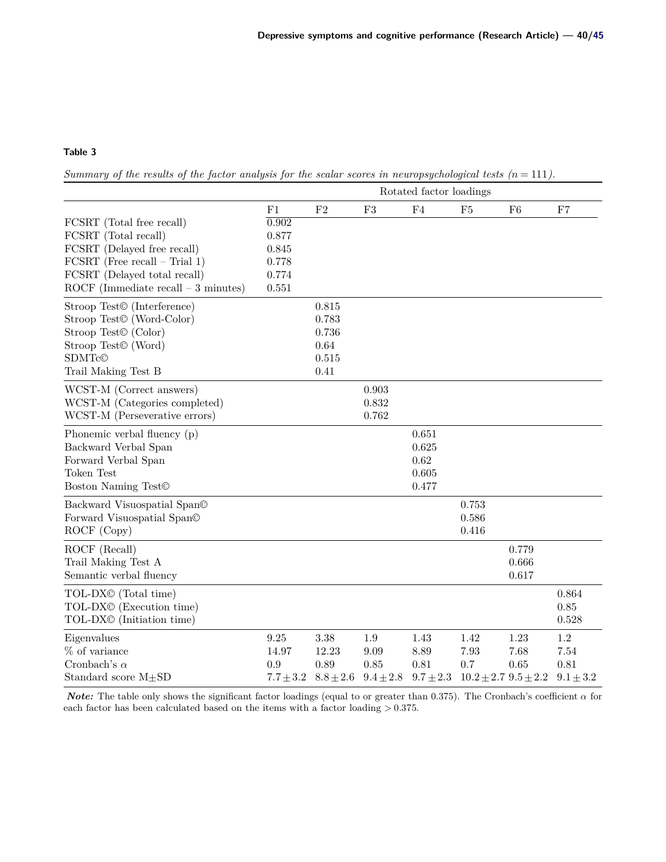<span id="page-5-0"></span>*Summary of the results of the factor analysis for the scalar scores in neuropsychological tests*  $(n = 111)$ *.* 

|                                         | Rotated factor loadings |                |               |             |                              |       |               |
|-----------------------------------------|-------------------------|----------------|---------------|-------------|------------------------------|-------|---------------|
|                                         | F1                      | F <sub>2</sub> | F3            | ${\rm F}4$  | F5                           | F6    | F7            |
| FCSRT (Total free recall)               | 0.902                   |                |               |             |                              |       |               |
| FCSRT (Total recall)                    | 0.877                   |                |               |             |                              |       |               |
| FCSRT (Delayed free recall)             | 0.845                   |                |               |             |                              |       |               |
| $FCSRT$ (Free recall – Trial 1)         | 0.778                   |                |               |             |                              |       |               |
| FCSRT (Delayed total recall)            | 0.774                   |                |               |             |                              |       |               |
| ROCF (Immediate recall $-3$ minutes)    | 0.551                   |                |               |             |                              |       |               |
| Stroop Test <sup>©</sup> (Interference) |                         | 0.815          |               |             |                              |       |               |
| Stroop Test <sup>©</sup> (Word-Color)   |                         | 0.783          |               |             |                              |       |               |
| Stroop Test <sup>©</sup> (Color)        |                         | 0.736          |               |             |                              |       |               |
| Stroop Test <sup>©</sup> (Word)         |                         | 0.64           |               |             |                              |       |               |
| SDMTc©                                  |                         | 0.515          |               |             |                              |       |               |
| Trail Making Test B                     |                         | 0.41           |               |             |                              |       |               |
| WCST-M (Correct answers)                |                         |                | 0.903         |             |                              |       |               |
| WCST-M (Categories completed)           |                         |                | 0.832         |             |                              |       |               |
| WCST-M (Perseverative errors)           |                         |                | 0.762         |             |                              |       |               |
| Phonemic verbal fluency (p)             |                         |                |               | 0.651       |                              |       |               |
| Backward Verbal Span                    |                         |                |               | 0.625       |                              |       |               |
| Forward Verbal Span                     |                         |                |               | 0.62        |                              |       |               |
| Token Test                              |                         |                |               | 0.605       |                              |       |               |
| Boston Naming Test <sup>©</sup>         |                         |                |               | 0.477       |                              |       |               |
| Backward Visuospatial Span©             |                         |                |               |             | 0.753                        |       |               |
| Forward Visuospatial Span©              |                         |                |               |             | 0.586                        |       |               |
| ROCF (Copy)                             |                         |                |               |             | 0.416                        |       |               |
| ROCF (Recall)                           |                         |                |               |             |                              | 0.779 |               |
| Trail Making Test A                     |                         |                |               |             |                              | 0.666 |               |
| Semantic verbal fluency                 |                         |                |               |             |                              | 0.617 |               |
| TOL-DX <sup>©</sup> (Total time)        |                         |                |               |             |                              |       | 0.864         |
| TOL-DX <sup>©</sup> (Execution time)    |                         |                |               |             |                              |       | 0.85          |
| TOL-DX <sup>®</sup> (Initiation time)   |                         |                |               |             |                              |       | 0.528         |
| Eigenvalues                             | 9.25                    | 3.38           | $1.9\,$       | 1.43        | 1.42                         | 1.23  | $1.2\,$       |
| % of variance                           | 14.97                   | 12.23          | 9.09          | 8.89        | 7.93                         | 7.68  | 7.54          |
| Cronbach's $\alpha$                     | 0.9                     | 0.89           | 0.85          | 0.81        | $0.7\,$                      | 0.65  | 0.81          |
| Standard score $M\pm SD$                | $7.7 \pm 3.2$           | $8.8 \pm 2.6$  | $9.4 \pm 2.8$ | $9.7\pm2.3$ | $10.2 \pm 2.7$ $9.5 \pm 2.2$ |       | $9.1 \pm 3.2$ |

*Note:* The table only shows the significant factor loadings (equal to or greater than 0.375). The Cronbach's coefficient  $\alpha$  for each factor has been calculated based on the items with a factor loading  $> 0.375$ .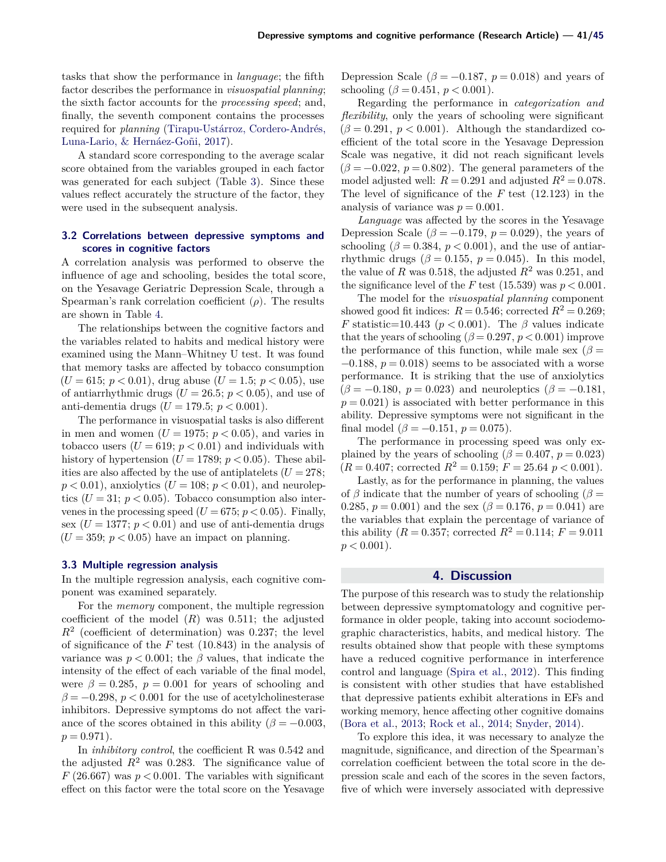tasks that show the performance in *language*; the fifth factor describes the performance in *visuospatial planning*; the sixth factor accounts for the *processing speed*; and, finally, the seventh component contains the processes required for *planning* [\(Tirapu-Ustárroz, Cordero-Andrés,](#page-10-8) [Luna-Lario, & Hernáez-Goñi,](#page-10-8) [2017\)](#page-10-8).

A standard score corresponding to the average scalar score obtained from the variables grouped in each factor was generated for each subject (Table [3\)](#page-5-0). Since these values reflect accurately the structure of the factor, they were used in the subsequent analysis.

#### **3.2 Correlations between depressive symptoms and scores in cognitive factors**

A correlation analysis was performed to observe the influence of age and schooling, besides the total score, on the Yesavage Geriatric Depression Scale, through a Spearman's rank correlation coefficient  $(\rho)$ . The results are shown in Table [4.](#page-7-0)

The relationships between the cognitive factors and the variables related to habits and medical history were examined using the Mann–Whitney U test. It was found that memory tasks are affected by tobacco consumption  $(U = 615; p < 0.01)$ , drug abuse  $(U = 1.5; p < 0.05)$ , use of antiarrhythmic drugs  $(U = 26.5; p < 0.05)$ , and use of anti-dementia drugs ( $U = 179.5$ ;  $p < 0.001$ ).

The performance in visuospatial tasks is also different in men and women  $(U = 1975; p < 0.05)$ , and varies in tobacco users  $(U = 619; p < 0.01)$  and individuals with history of hypertension ( $U = 1789$ ;  $p < 0.05$ ). These abilities are also affected by the use of antiplatelets  $(U = 278;$  $p < 0.01$ ), anxiolytics ( $U = 108$ ;  $p < 0.01$ ), and neuroleptics  $(U = 31; p < 0.05)$ . Tobacco consumption also intervenes in the processing speed ( $U = 675$ ;  $p < 0.05$ ). Finally, sex ( $U = 1377$ ;  $p < 0.01$ ) and use of anti-dementia drugs  $(U = 359; p < 0.05)$  have an impact on planning.

#### **3.3 Multiple regression analysis**

In the multiple regression analysis, each cognitive component was examined separately.

For the *memory* component, the multiple regression coefficient of the model  $(R)$  was 0.511; the adjusted  $R<sup>2</sup>$  (coefficient of determination) was 0.237; the level of significance of the  $F$  test (10.843) in the analysis of variance was  $p < 0.001$ ; the  $\beta$  values, that indicate the intensity of the effect of each variable of the final model, were  $\beta = 0.285$ ,  $p = 0.001$  for years of schooling and  $\beta = -0.298$ ,  $p < 0.001$  for the use of acetylcholinesterase inhibitors. Depressive symptoms do not affect the variance of the scores obtained in this ability ( $\beta = -0.003$ ,  $p = 0.971$ .

In *inhibitory control*, the coefficient R was 0.542 and the adjusted  $R^2$  was 0.283. The significance value of  $F(26.667)$  was  $p < 0.001$ . The variables with significant effect on this factor were the total score on the Yesavage

Depression Scale ( $\beta = -0.187$ ,  $p = 0.018$ ) and years of schooling ( $\beta = 0.451, p < 0.001$ ).

Regarding the performance in *categorization and flexibility*, only the years of schooling were significant  $(\beta = 0.291, p < 0.001)$ . Although the standardized coefficient of the total score in the Yesavage Depression Scale was negative, it did not reach significant levels  $(\beta = -0.022, p = 0.802)$ . The general parameters of the model adjusted well:  $R = 0.291$  and adjusted  $R^2 = 0.078$ . The level of significance of the  $F$  test (12.123) in the analysis of variance was  $p = 0.001$ .

*Language* was affected by the scores in the Yesavage Depression Scale ( $\beta = -0.179$ ,  $p = 0.029$ ), the years of schooling ( $\beta = 0.384$ ,  $p < 0.001$ ), and the use of antiarrhythmic drugs ( $\beta = 0.155$ ,  $p = 0.045$ ). In this model, the value of R was 0.518, the adjusted  $R^2$  was 0.251, and the significance level of the F test (15.539) was  $p < 0.001$ .

The model for the *visuospatial planning* component showed good fit indices:  $R = 0.546$ ; corrected  $R^2 = 0.269$ ; F statistic=10.443 ( $p < 0.001$ ). The  $\beta$  values indicate that the years of schooling ( $\beta = 0.297$ ,  $p < 0.001$ ) improve the performance of this function, while male sex  $(\beta =$  $-0.188$ ,  $p = 0.018$ ) seems to be associated with a worse performance. It is striking that the use of anxiolytics  $(\beta = -0.180, p = 0.023)$  and neuroleptics  $(\beta = -0.181,$  $p = 0.021$ ) is associated with better performance in this ability. Depressive symptoms were not significant in the final model  $(\beta = -0.151, p = 0.075)$ .

The performance in processing speed was only explained by the years of schooling ( $\beta = 0.407$ ,  $p = 0.023$ )  $(R = 0.407;$  corrected  $R^2 = 0.159; F = 25.64 \, p < 0.001$ .

Lastly, as for the performance in planning, the values of  $\beta$  indicate that the number of years of schooling ( $\beta =$ 0.285,  $p = 0.001$ ) and the sex ( $\beta = 0.176$ ,  $p = 0.041$ ) are the variables that explain the percentage of variance of this ability ( $R = 0.357$ ; corrected  $R^2 = 0.114$ ;  $F = 9.011$  $p < 0.001$ ).

## **4. Discussion**

The purpose of this research was to study the relationship between depressive symptomatology and cognitive performance in older people, taking into account sociodemographic characteristics, habits, and medical history. The results obtained show that people with these symptoms have a reduced cognitive performance in interference control and language [\(Spira et al.,](#page-10-4) [2012\)](#page-10-4). This finding is consistent with other studies that have established that depressive patients exhibit alterations in EFs and working memory, hence affecting other cognitive domains [\(Bora et al.,](#page-8-2) [2013;](#page-8-2) [Rock et al.,](#page-10-5) [2014;](#page-10-5) [Snyder,](#page-10-6) [2014\)](#page-10-6).

To explore this idea, it was necessary to analyze the magnitude, significance, and direction of the Spearman's correlation coefficient between the total score in the depression scale and each of the scores in the seven factors, five of which were inversely associated with depressive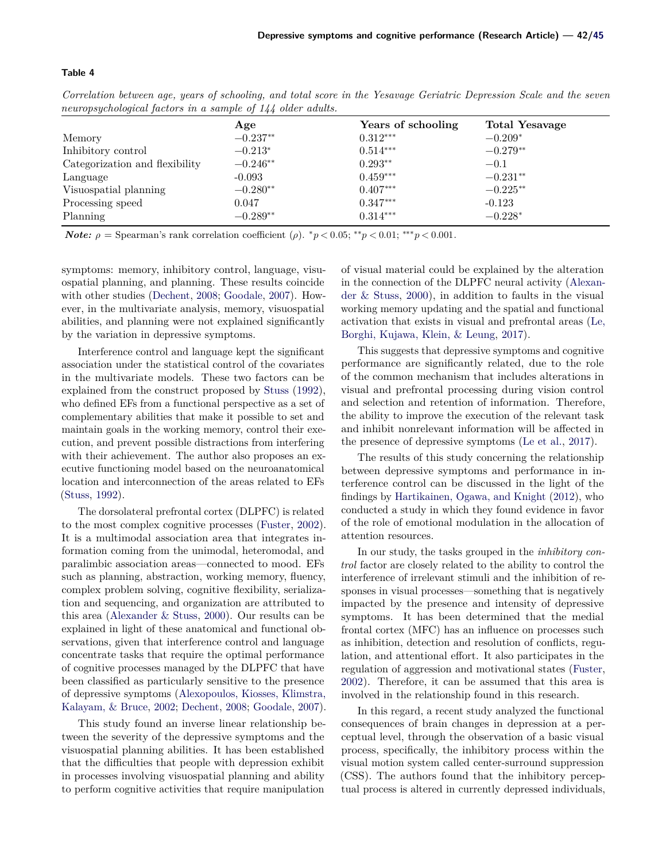<span id="page-7-0"></span>*Correlation between age, years of schooling, and total score in the Yesavage Geriatric Depression Scale and the seven neuropsychological factors in a sample of 144 older adults.*

| $\cdot$                        | Age        | Years of schooling | <b>Total Yesavage</b> |
|--------------------------------|------------|--------------------|-----------------------|
| Memory                         | $-0.237**$ | $0.312***$         | $-0.209*$             |
| Inhibitory control             | $-0.213*$  | $0.514***$         | $-0.279**$            |
| Categorization and flexibility | $-0.246**$ | $0.293**$          | $-0.1$                |
| Language                       | $-0.093$   | $0.459***$         | $-0.231**$            |
| Visuospatial planning          | $-0.280**$ | $0.407***$         | $-0.225**$            |
| Processing speed               | 0.047      | $0.347***$         | $-0.123$              |
| Planning                       | $-0.289**$ | $0.314***$         | $-0.228*$             |

*Note:*  $\rho =$  Spearman's rank correlation coefficient ( $\rho$ ). \* $p < 0.05$ ; \*\* $p < 0.01$ ; \*\*\* $p < 0.001$ .

symptoms: memory, inhibitory control, language, visuospatial planning, and planning. These results coincide with other studies [\(Dechent,](#page-8-5) [2008;](#page-8-5) [Goodale,](#page-9-18) [2007\)](#page-9-18). However, in the multivariate analysis, memory, visuospatial abilities, and planning were not explained significantly by the variation in depressive symptoms.

Interference control and language kept the significant association under the statistical control of the covariates in the multivariate models. These two factors can be explained from the construct proposed by [Stuss](#page-10-9) [\(1992\)](#page-10-9), who defined EFs from a functional perspective as a set of complementary abilities that make it possible to set and maintain goals in the working memory, control their execution, and prevent possible distractions from interfering with their achievement. The author also proposes an executive functioning model based on the neuroanatomical location and interconnection of the areas related to EFs [\(Stuss,](#page-10-9) [1992\)](#page-10-9).

The dorsolateral prefrontal cortex (DLPFC) is related to the most complex cognitive processes [\(Fuster,](#page-9-19) [2002\)](#page-9-19). It is a multimodal association area that integrates information coming from the unimodal, heteromodal, and paralimbic association areas—connected to mood. EFs such as planning, abstraction, working memory, fluency, complex problem solving, cognitive flexibility, serialization and sequencing, and organization are attributed to this area [\(Alexander & Stuss,](#page-8-6) [2000\)](#page-8-6). Our results can be explained in light of these anatomical and functional observations, given that interference control and language concentrate tasks that require the optimal performance of cognitive processes managed by the DLPFC that have been classified as particularly sensitive to the presence of depressive symptoms [\(Alexopoulos, Kiosses, Klimstra,](#page-8-7) [Kalayam, & Bruce,](#page-8-7) [2002;](#page-8-7) [Dechent,](#page-8-5) [2008;](#page-8-5) [Goodale,](#page-9-18) [2007\)](#page-9-18).

This study found an inverse linear relationship between the severity of the depressive symptoms and the visuospatial planning abilities. It has been established that the difficulties that people with depression exhibit in processes involving visuospatial planning and ability to perform cognitive activities that require manipulation

of visual material could be explained by the alteration in the connection of the DLPFC neural activity [\(Alexan](#page-8-6)[der & Stuss,](#page-8-6) [2000\)](#page-8-6), in addition to faults in the visual working memory updating and the spatial and functional activation that exists in visual and prefrontal areas [\(Le,](#page-9-20) [Borghi, Kujawa, Klein, & Leung,](#page-9-20) [2017\)](#page-9-20).

This suggests that depressive symptoms and cognitive performance are significantly related, due to the role of the common mechanism that includes alterations in visual and prefrontal processing during vision control and selection and retention of information. Therefore, the ability to improve the execution of the relevant task and inhibit nonrelevant information will be affected in the presence of depressive symptoms [\(Le et al.,](#page-9-20) [2017\)](#page-9-20).

The results of this study concerning the relationship between depressive symptoms and performance in interference control can be discussed in the light of the findings by [Hartikainen, Ogawa, and Knight](#page-9-21) [\(2012\)](#page-9-21), who conducted a study in which they found evidence in favor of the role of emotional modulation in the allocation of attention resources.

In our study, the tasks grouped in the *inhibitory control* factor are closely related to the ability to control the interference of irrelevant stimuli and the inhibition of responses in visual processes—something that is negatively impacted by the presence and intensity of depressive symptoms. It has been determined that the medial frontal cortex (MFC) has an influence on processes such as inhibition, detection and resolution of conflicts, regulation, and attentional effort. It also participates in the regulation of aggression and motivational states [\(Fuster,](#page-9-19) [2002\)](#page-9-19). Therefore, it can be assumed that this area is involved in the relationship found in this research.

In this regard, a recent study analyzed the functional consequences of brain changes in depression at a perceptual level, through the observation of a basic visual process, specifically, the inhibitory process within the visual motion system called center-surround suppression (CSS). The authors found that the inhibitory perceptual process is altered in currently depressed individuals,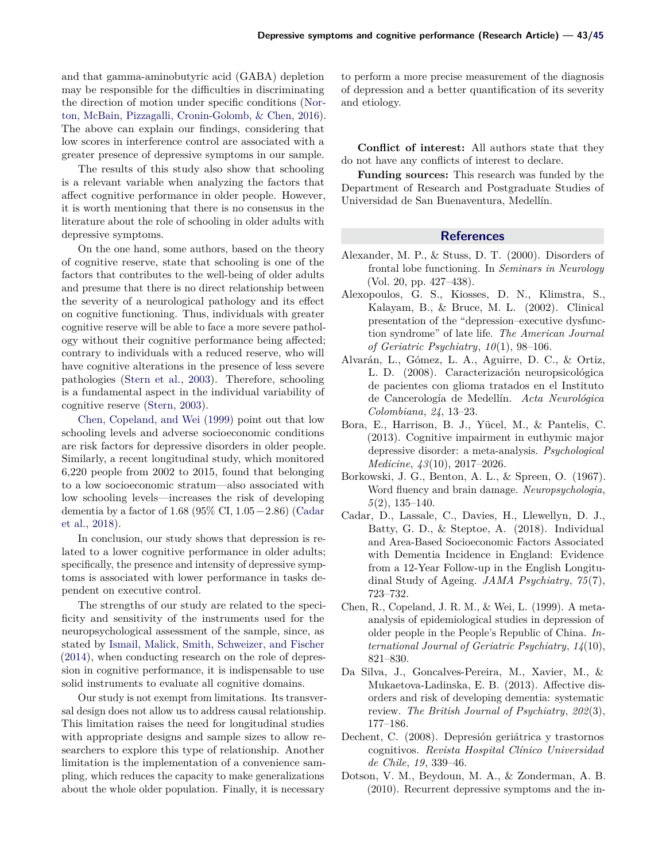and that gamma-aminobutyric acid (GABA) depletion may be responsible for the difficulties in discriminating the direction of motion under specific conditions [\(Nor](#page-9-22)[ton, McBain, Pizzagalli, Cronin-Golomb, & Chen,](#page-9-22) [2016\)](#page-9-22). The above can explain our findings, considering that low scores in interference control are associated with a greater presence of depressive symptoms in our sample.

The results of this study also show that schooling is a relevant variable when analyzing the factors that affect cognitive performance in older people. However, it is worth mentioning that there is no consensus in the literature about the role of schooling in older adults with depressive symptoms.

On the one hand, some authors, based on the theory of cognitive reserve, state that schooling is one of the factors that contributes to the well-being of older adults and presume that there is no direct relationship between the severity of a neurological pathology and its effect on cognitive functioning. Thus, individuals with greater cognitive reserve will be able to face a more severe pathology without their cognitive performance being affected; contrary to individuals with a reduced reserve, who will have cognitive alterations in the presence of less severe pathologies [\(Stern et al.,](#page-10-10) [2003\)](#page-10-10). Therefore, schooling is a fundamental aspect in the individual variability of cognitive reserve [\(Stern,](#page-10-11) [2003\)](#page-10-11).

[Chen, Copeland, and Wei](#page-8-8) [\(1999\)](#page-8-8) point out that low schooling levels and adverse socioeconomic conditions are risk factors for depressive disorders in older people. Similarly, a recent longitudinal study, which monitored 6,220 people from 2002 to 2015, found that belonging to a low socioeconomic stratum—also associated with low schooling levels—increases the risk of developing dementia by a factor of 1.68 (95% CI,  $1.05-2.86$ ) [\(Cadar](#page-8-9) [et al.,](#page-8-9) [2018\)](#page-8-9).

In conclusion, our study shows that depression is related to a lower cognitive performance in older adults; specifically, the presence and intensity of depressive symptoms is associated with lower performance in tasks dependent on executive control.

The strengths of our study are related to the specificity and sensitivity of the instruments used for the neuropsychological assessment of the sample, since, as stated by [Ismail, Malick, Smith, Schweizer, and Fischer](#page-9-23) [\(2014\)](#page-9-23), when conducting research on the role of depression in cognitive performance, it is indispensable to use solid instruments to evaluate all cognitive domains.

Our study is not exempt from limitations. Its transversal design does not allow us to address causal relationship. This limitation raises the need for longitudinal studies with appropriate designs and sample sizes to allow researchers to explore this type of relationship. Another limitation is the implementation of a convenience sampling, which reduces the capacity to make generalizations about the whole older population. Finally, it is necessary

to perform a more precise measurement of the diagnosis of depression and a better quantification of its severity and etiology.

**Conflict of interest:** All authors state that they do not have any conflicts of interest to declare.

**Funding sources:** This research was funded by the Department of Research and Postgraduate Studies of Universidad de San Buenaventura, Medellín.

#### **References**

- <span id="page-8-6"></span>Alexander, M. P., & Stuss, D. T. (2000). Disorders of frontal lobe functioning. In *Seminars in Neurology* (Vol. 20, pp. 427–438).
- <span id="page-8-7"></span>Alexopoulos, G. S., Kiosses, D. N., Klimstra, S., Kalayam, B., & Bruce, M. L. (2002). Clinical presentation of the "depression–executive dysfunction syndrome" of late life. *The American Journal of Geriatric Psychiatry*, *10*(1), 98–106.
- <span id="page-8-1"></span>Alvarán, L., Gómez, L. A., Aguirre, D. C., & Ortiz, L. D. (2008). Caracterización neuropsicológica de pacientes con glioma tratados en el Instituto de Cancerología de Medellín. *Acta Neurológica Colombiana*, *24*, 13–23.
- <span id="page-8-2"></span>Bora, E., Harrison, B. J., Yücel, M., & Pantelis, C. (2013). Cognitive impairment in euthymic major depressive disorder: a meta-analysis. *Psychological Medicine*, *43*(10), 2017–2026.
- <span id="page-8-4"></span>Borkowski, J. G., Benton, A. L., & Spreen, O. (1967). Word fluency and brain damage. *Neuropsychologia*, *5*(2), 135–140.
- <span id="page-8-9"></span>Cadar, D., Lassale, C., Davies, H., Llewellyn, D. J., Batty, G. D., & Steptoe, A. (2018). Individual and Area-Based Socioeconomic Factors Associated with Dementia Incidence in England: Evidence from a 12-Year Follow-up in the English Longitudinal Study of Ageing. *JAMA Psychiatry*, *75*(7), 723–732.
- <span id="page-8-8"></span>Chen, R., Copeland, J. R. M., & Wei, L. (1999). A metaanalysis of epidemiological studies in depression of older people in the People's Republic of China. *International Journal of Geriatric Psychiatry*, *14*(10), 821–830.
- <span id="page-8-0"></span>Da Silva, J., Goncalves-Pereira, M., Xavier, M., & Mukaetova-Ladinska, E. B. (2013). Affective disorders and risk of developing dementia: systematic review. *The British Journal of Psychiatry*, *202*(3), 177–186.
- <span id="page-8-5"></span>Dechent, C. (2008). Depresión geriátrica y trastornos cognitivos. *Revista Hospital Clínico Universidad de Chile*, *19*, 339–46.
- <span id="page-8-3"></span>Dotson, V. M., Beydoun, M. A., & Zonderman, A. B. (2010). Recurrent depressive symptoms and the in-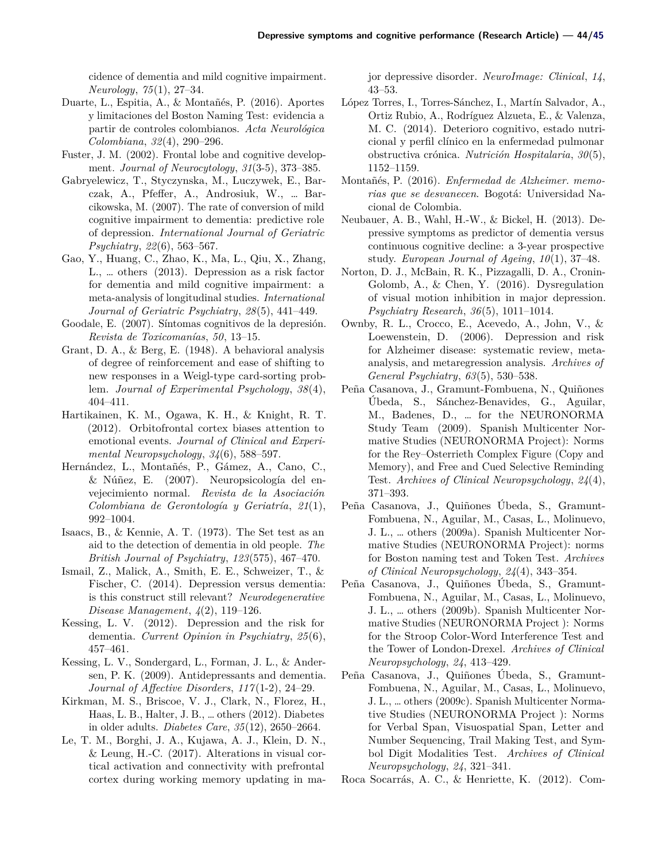cidence of dementia and mild cognitive impairment. *Neurology*, *75*(1), 27–34.

- <span id="page-9-11"></span>Duarte, L., Espitia, A., & Montañés, P. (2016). Aportes y limitaciones del Boston Naming Test: evidencia a partir de controles colombianos. *Acta Neurológica Colombiana*, *32*(4), 290–296.
- <span id="page-9-19"></span>Fuster, J. M. (2002). Frontal lobe and cognitive development. *Journal of Neurocytology*, *31*(3-5), 373–385.
- <span id="page-9-1"></span>Gabryelewicz, T., Styczynska, M., Luczywek, E., Barczak, A., Pfeffer, A., Androsiuk, W., … Barcikowska, M. (2007). The rate of conversion of mild cognitive impairment to dementia: predictive role of depression. *International Journal of Geriatric Psychiatry*, *22*(6), 563–567.
- <span id="page-9-2"></span>Gao, Y., Huang, C., Zhao, K., Ma, L., Qiu, X., Zhang, L., … others (2013). Depression as a risk factor for dementia and mild cognitive impairment: a meta-analysis of longitudinal studies. *International Journal of Geriatric Psychiatry*, *28*(5), 441–449.
- <span id="page-9-18"></span>Goodale, E. (2007). Síntomas cognitivos de la depresión. *Revista de Toxicomanías*, *50*, 13–15.
- <span id="page-9-15"></span>Grant, D. A., & Berg, E. (1948). A behavioral analysis of degree of reinforcement and ease of shifting to new responses in a Weigl-type card-sorting problem. *Journal of Experimental Psychology*, *38*(4), 404–411.
- <span id="page-9-21"></span>Hartikainen, K. M., Ogawa, K. H., & Knight, R. T. (2012). Orbitofrontal cortex biases attention to emotional events. *Journal of Clinical and Experimental Neuropsychology*, *34*(6), 588–597.
- <span id="page-9-9"></span>Hernández, L., Montañés, P., Gámez, A., Cano, C., & Núñez, E. (2007). Neuropsicología del envejecimiento normal. *Revista de la Asociación Colombiana de Gerontología y Geriatría*, *21*(1), 992–1004.
- <span id="page-9-17"></span>Isaacs, B., & Kennie, A. T. (1973). The Set test as an aid to the detection of dementia in old people. *The British Journal of Psychiatry*, *123*(575), 467–470.
- <span id="page-9-23"></span>Ismail, Z., Malick, A., Smith, E. E., Schweizer, T., & Fischer, C. (2014). Depression versus dementia: is this construct still relevant? *Neurodegenerative Disease Management*, *4*(2), 119–126.
- <span id="page-9-8"></span>Kessing, L. V. (2012). Depression and the risk for dementia. *Current Opinion in Psychiatry*, *25*(6), 457–461.
- <span id="page-9-3"></span>Kessing, L. V., Sondergard, L., Forman, J. L., & Andersen, P. K. (2009). Antidepressants and dementia. *Journal of Affective Disorders*, *117* (1-2), 24–29.
- <span id="page-9-4"></span>Kirkman, M. S., Briscoe, V. J., Clark, N., Florez, H., Haas, L. B., Halter, J. B., … others (2012). Diabetes in older adults. *Diabetes Care*, *35*(12), 2650–2664.
- <span id="page-9-20"></span>Le, T. M., Borghi, J. A., Kujawa, A. J., Klein, D. N., & Leung, H.-C. (2017). Alterations in visual cortical activation and connectivity with prefrontal cortex during working memory updating in ma-

jor depressive disorder. *NeuroImage: Clinical*, *14*, 43–53.

- <span id="page-9-5"></span>López Torres, I., Torres-Sánchez, I., Martín Salvador, A., Ortiz Rubio, A., Rodríguez Alzueta, E., & Valenza, M. C. (2014). Deterioro cognitivo, estado nutricional y perfil clínico en la enfermedad pulmonar obstructiva crónica. *Nutrición Hospitalaria*, *30*(5), 1152–1159.
- <span id="page-9-10"></span>Montañés, P. (2016). *Enfermedad de Alzheimer. memorias que se desvanecen*. Bogotá: Universidad Nacional de Colombia.
- <span id="page-9-7"></span>Neubauer, A. B., Wahl, H.-W., & Bickel, H. (2013). Depressive symptoms as predictor of dementia versus continuous cognitive decline: a 3-year prospective study. *European Journal of Ageing*, *10*(1), 37–48.
- <span id="page-9-22"></span>Norton, D. J., McBain, R. K., Pizzagalli, D. A., Cronin-Golomb, A., & Chen, Y. (2016). Dysregulation of visual motion inhibition in major depression. *Psychiatry Research*, *36*(5), 1011–1014.
- <span id="page-9-6"></span>Ownby, R. L., Crocco, E., Acevedo, A., John, V., & Loewenstein, D. (2006). Depression and risk for Alzheimer disease: systematic review, metaanalysis, and metaregression analysis. *Archives of General Psychiatry*, *63*(5), 530–538.
- <span id="page-9-14"></span>Peña Casanova, J., Gramunt-Fombuena, N., Quiñones Úbeda, S., Sánchez-Benavides, G., Aguilar, M., Badenes, D., … for the NEURONORMA Study Team (2009). Spanish Multicenter Normative Studies (NEURONORMA Project): Norms for the Rey–Osterrieth Complex Figure (Copy and Memory), and Free and Cued Selective Reminding Test. *Archives of Clinical Neuropsychology*, *24*(4), 371–393.
- <span id="page-9-13"></span>Peña Casanova, J., Quiñones Úbeda, S., Gramunt-Fombuena, N., Aguilar, M., Casas, L., Molinuevo, J. L., … others (2009a). Spanish Multicenter Normative Studies (NEURONORMA Project): norms for Boston naming test and Token Test. *Archives of Clinical Neuropsychology*, *24*(4), 343–354.
- <span id="page-9-16"></span>Peña Casanova, J., Quiñones Úbeda, S., Gramunt-Fombuena, N., Aguilar, M., Casas, L., Molinuevo, J. L., … others (2009b). Spanish Multicenter Normative Studies (NEURONORMA Project ): Norms for the Stroop Color-Word Interference Test and the Tower of London-Drexel. *Archives of Clinical Neuropsychology*, *24*, 413–429.
- <span id="page-9-12"></span>Peña Casanova, J., Quiñones Úbeda, S., Gramunt-Fombuena, N., Aguilar, M., Casas, L., Molinuevo, J. L., … others (2009c). Spanish Multicenter Normative Studies (NEURONORMA Project ): Norms for Verbal Span, Visuospatial Span, Letter and Number Sequencing, Trail Making Test, and Symbol Digit Modalities Test. *Archives of Clinical Neuropsychology*, *24*, 321–341.
- <span id="page-9-0"></span>Roca Socarrás, A. C., & Henriette, K. (2012). Com-